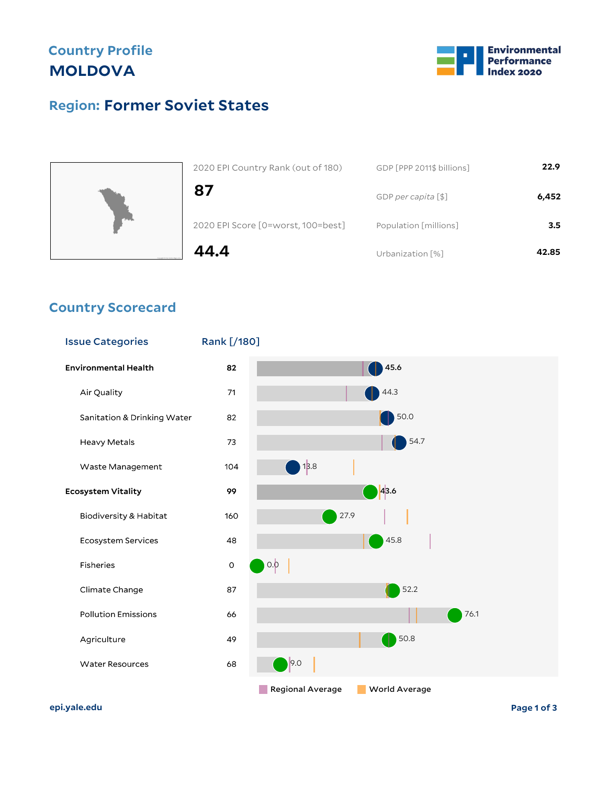## **Country Profile MOLDOVA**



## **Former Soviet States Region:**



| 2020 EPI Country Rank (out of 180)<br>87 | GDP [PPP 2011\$ billions] |       |
|------------------------------------------|---------------------------|-------|
|                                          | GDP per capita [\$]       | 6,452 |
| 2020 EPI Score [0=worst, 100=best]       | Population [millions]     | 3.5   |
| 44.4                                     | Urbanization [%]          | 42.85 |

#### **Country Scorecard**

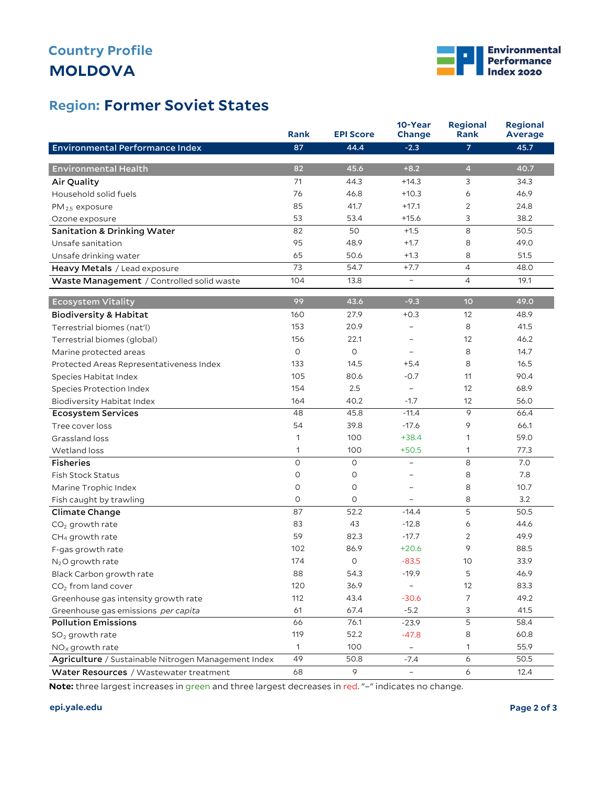# **MOLDOVA Country Profile**



### **Former Soviet States Region:**

|                                                     | <b>Rank</b>  | <b>EPI Score</b> | 10-Year<br>Change        | Regional<br><b>Rank</b> | <b>Regional</b><br><b>Average</b> |
|-----------------------------------------------------|--------------|------------------|--------------------------|-------------------------|-----------------------------------|
| <b>Environmental Performance Index</b>              | 87           | 44.4             | $-2.3$                   | $\overline{7}$          | 45.7                              |
|                                                     |              |                  |                          |                         |                                   |
| <b>Environmental Health</b>                         | 82           | 45.6             | $+8.2$                   | $\overline{4}$          | 40.7                              |
| Air Quality                                         | 71           | 44.3             | $+14.3$                  | 3                       | 34.3                              |
| Household solid fuels                               | 76           | 46.8             | $+10.3$                  | 6                       | 46.9                              |
| $PM_{2.5}$ exposure                                 | 85           | 41.7             | $+17.1$                  | 2                       | 24.8                              |
| Ozone exposure                                      | 53           | 53.4             | $+15.6$                  | 3                       | 38.2                              |
| <b>Sanitation &amp; Drinking Water</b>              | 82           | 50               | $+1.5$                   | 8                       | 50.5                              |
| Unsafe sanitation                                   | 95           | 48.9             | $+1.7$                   | 8                       | 49.0                              |
| Unsafe drinking water                               | 65           | 50.6             | $+1.3$                   | 8                       | 51.5                              |
| Heavy Metals / Lead exposure                        | 73           | 54.7             | $+7.7$                   | $\overline{4}$          | 48.0                              |
| Waste Management / Controlled solid waste           | 104          | 13.8             | $\overline{\phantom{a}}$ | 4                       | 19.1                              |
| <b>Ecosystem Vitality</b>                           | 99           | 43.6             | $-9.3$                   | 10                      | 49.0                              |
| <b>Biodiversity &amp; Habitat</b>                   | 160          | 27.9             | $+0.3$                   | 12                      | 48.9                              |
| Terrestrial biomes (nat'l)                          | 153          | 20.9             | $\overline{\phantom{0}}$ | 8                       | 41.5                              |
| Terrestrial biomes (global)                         | 156          | 22.1             |                          | 12                      | 46.2                              |
| Marine protected areas                              | $\circ$      | $\circ$          | ۳                        | 8                       | 14.7                              |
| Protected Areas Representativeness Index            | 133          | 14.5             | $+5.4$                   | 8                       | 16.5                              |
| Species Habitat Index                               | 105          | 80.6             | $-0.7$                   | 11                      | 90.4                              |
| Species Protection Index                            | 154          | 2.5              | $\overline{\phantom{a}}$ | 12                      | 68.9                              |
| Biodiversity Habitat Index                          | 164          | 40.2             | $-1.7$                   | 12                      | 56.0                              |
| <b>Ecosystem Services</b>                           | 48           | 45.8             | $-11.4$                  | 9                       | 66.4                              |
| Tree cover loss                                     | 54           | 39.8             | $-17.6$                  | 9                       | 66.1                              |
| Grassland loss                                      | 1            | 100              | $+38.4$                  | 1                       | 59.0                              |
| Wetland loss                                        | 1            | 100              | $+50.5$                  | 1                       | 77.3                              |
| <b>Fisheries</b>                                    | $\circ$      | O                | $\overline{\phantom{0}}$ | 8                       | 7.0                               |
| <b>Fish Stock Status</b>                            | $\circ$      | 0                | $\overline{a}$           | 8                       | 7.8                               |
| Marine Trophic Index                                | O            | O                | -                        | 8                       | 10.7                              |
| Fish caught by trawling                             | 0            | O                |                          | 8                       | 3.2                               |
| Climate Change                                      | 87           | 52.2             | $-14.4$                  | 5                       | 50.5                              |
| $CO2$ growth rate                                   | 83           | 43               | $-12.8$                  | 6                       | 44.6                              |
| CH <sub>4</sub> growth rate                         | 59           | 82.3             | $-17.7$                  | $\overline{2}$          | 49.9                              |
| F-gas growth rate                                   | 102          | 86.9             | $+20.6$                  | 9                       | 88.5                              |
| $N2O$ growth rate                                   | 174          | 0                | $-83.5$                  | 10                      | 33.9                              |
| Black Carbon growth rate                            | 88           | 54.3             | $-19.9$                  | 5                       | 46.9                              |
| $CO2$ from land cover                               | 120          | 36.9             |                          | 12                      | 83.3                              |
| Greenhouse gas intensity growth rate                | 112          | 43.4             | $-30.6$                  | $\overline{7}$          | 49.2                              |
| Greenhouse gas emissions per capita                 | 61           | 67.4             | $-5.2$                   | 3                       | 41.5                              |
| <b>Pollution Emissions</b>                          | 66           | 76.1             | $-23.9$                  | 5                       | 58.4                              |
| $SO2$ growth rate                                   | 119          | 52.2             | $-47.8$                  | 8                       | 60.8                              |
| $NOx$ growth rate                                   | $\mathbf{1}$ | 100              | $\overline{\phantom{a}}$ | 1                       | 55.9                              |
| Agriculture / Sustainable Nitrogen Management Index | 49           | 50.8             | $-7.4$                   | 6                       | 50.5                              |
| Water Resources / Wastewater treatment              | 68           | 9                | $\equiv$                 | 6                       | 12.4                              |

**Note:** three largest increases in green and three largest decreases in red. "–" indicates no change.

#### **epi.yale.edu Page 2 of 3**